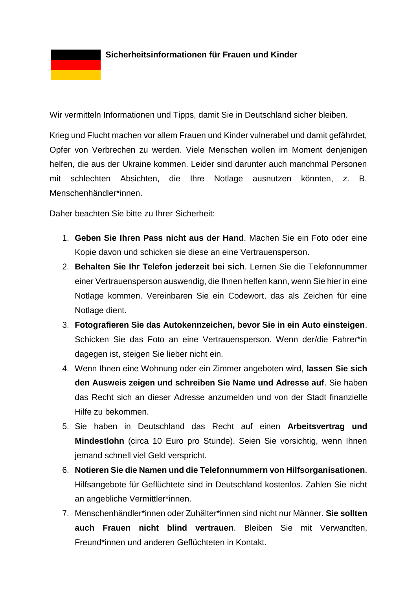**Sicherheitsinformationen für Frauen und Kinder**

Wir vermitteln Informationen und Tipps, damit Sie in Deutschland sicher bleiben.

Krieg und Flucht machen vor allem Frauen und Kinder vulnerabel und damit gefährdet, Opfer von Verbrechen zu werden. Viele Menschen wollen im Moment denjenigen helfen, die aus der Ukraine kommen. Leider sind darunter auch manchmal Personen mit schlechten Absichten, die Ihre Notlage ausnutzen könnten, z. B. Menschenhändler\*innen.

Daher beachten Sie bitte zu Ihrer Sicherheit:

- 1. **Geben Sie Ihren Pass nicht aus der Hand**. Machen Sie ein Foto oder eine Kopie davon und schicken sie diese an eine Vertrauensperson.
- 2. **Behalten Sie Ihr Telefon jederzeit bei sich**. Lernen Sie die Telefonnummer einer Vertrauensperson auswendig, die Ihnen helfen kann, wenn Sie hier in eine Notlage kommen. Vereinbaren Sie ein Codewort, das als Zeichen für eine Notlage dient.
- 3. **Fotografieren Sie das Autokennzeichen, bevor Sie in ein Auto einsteigen**. Schicken Sie das Foto an eine Vertrauensperson. Wenn der/die Fahrer\*in dagegen ist, steigen Sie lieber nicht ein.
- 4. Wenn Ihnen eine Wohnung oder ein Zimmer angeboten wird, **lassen Sie sich den Ausweis zeigen und schreiben Sie Name und Adresse auf**. Sie haben das Recht sich an dieser Adresse anzumelden und von der Stadt finanzielle Hilfe zu bekommen.
- 5. Sie haben in Deutschland das Recht auf einen **Arbeitsvertrag und Mindestlohn** (circa 10 Euro pro Stunde). Seien Sie vorsichtig, wenn Ihnen jemand schnell viel Geld verspricht.
- 6. **Notieren Sie die Namen und die Telefonnummern von Hilfsorganisationen**. Hilfsangebote für Geflüchtete sind in Deutschland kostenlos. Zahlen Sie nicht an angebliche Vermittler\*innen.
- 7. Menschenhändler\*innen oder Zuhälter\*innen sind nicht nur Männer. **Sie sollten auch Frauen nicht blind vertrauen**. Bleiben Sie mit Verwandten, Freund\*innen und anderen Geflüchteten in Kontakt.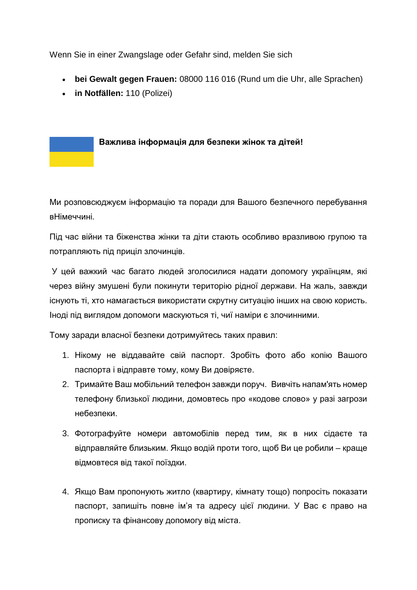Wenn Sie in einer Zwangslage oder Gefahr sind, melden Sie sich

- **bei Gewalt gegen Frauen:** 08000 116 016 (Rund um die Uhr, alle Sprachen)
- **in Notfällen:** 110 (Polizei)

## **Важлива інформація для безпеки жінок та дітей!**

Ми розповсюджуєм інформацію та поради для Вашого безпечного перебування вНімеччині.

Під час війни та біженства жінки та діти стають особливо вразливою групою та потрапляють під приціл злочинців.

У цей важкий час багато людей зголосилися надати допомогу українцям, які через війну змушені були покинути територію рідної держави. На жаль, завжди існують ті, хто намагається використати скрутну ситуацію інших на свою користь. Іноді під виглядом допомоги маскуються ті, чиї наміри є злочинними.

Тому заради власної безпеки дотримуйтесь таких правил:

- 1. Нікому не віддавайте свій паспорт. Зробіть фото або копію Вашого паспорта і відправте тому, кому Ви довіряєте.
- 2. Тримайте Ваш мобільний телефон завжди поруч. Вивчіть напам'ять номер телефону близької людини, домовтесь про «кодове слово» у разі загрози небезпеки.
- 3. Фотографуйте номери автомобілів перед тим, як в них сідаєте та відправляйте близьким. Якщо водій проти того, щоб Ви це робили – краще відмовтеся від такої поїздки.
- 4. Якщо Вам пропонують житло (квартиру, кімнату тощо) попросіть показати паспорт, запишіть повне ім'я та адресу цієї людини. У Вас є право на прописку та фінансову допомогу від міста.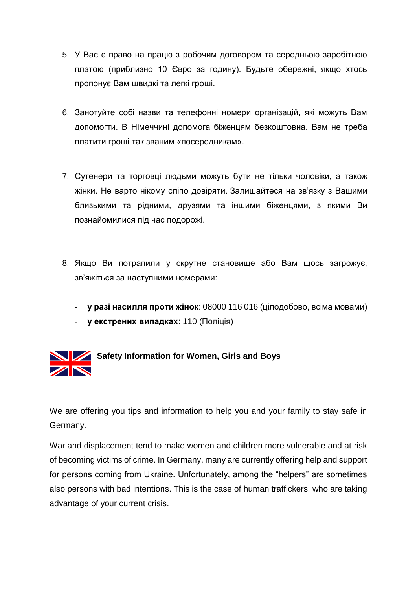- 5. У Вас є право на працю з робочим договором та середньою заробітною платою (приблизно 10 Євро за годину). Будьте обережні, якщо хтось пропонує Вам швидкі та легкі гроші.
- 6. Занотуйте собі назви та телефонні номери організацій, які можуть Вам допомогти. В Німеччині допомога біженцям безкоштовна. Вам не треба платити гроші так званим «посередникам».
- 7. Сутенери та торговці людьми можуть бути не тільки чоловіки, а також жінки. Не варто нікому сліпо довіряти. Залишайтеся на зв'язку з Вашими близькими та рідними, друзями та іншими біженцями, з якими Ви познайомилися під час подорожі.
- 8. Якщо Ви потрапили у скрутне становище або Вам щось загрожує, зв'яжіться за наступними номерами:
	- **у разі насилля проти жінок**: 08000 116 016 (цілодобово, всіма мовами)
	- **у екстрених випадках**: 110 (Поліція)



## **Safety Information for Women, Girls and Boys**

We are offering you tips and information to help you and your family to stay safe in Germany.

War and displacement tend to make women and children more vulnerable and at risk of becoming victims of crime. In Germany, many are currently offering help and support for persons coming from Ukraine. Unfortunately, among the "helpers" are sometimes also persons with bad intentions. This is the case of human traffickers, who are taking advantage of your current crisis.